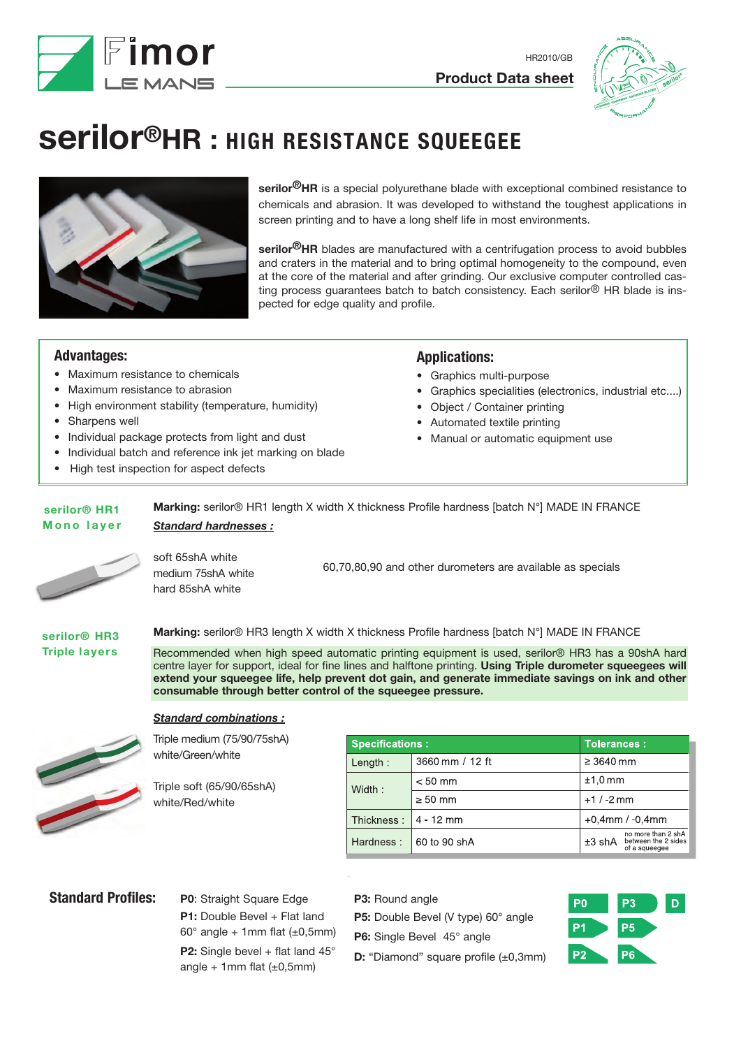



# **serilor®HR : HIGH RESISTANCE SQUEEGEE**



**serilor®HR** is a special polyurethane blade with exceptional combined resistance to chemicals and abrasion. It was developed to withstand the toughest applications in screen printing and to have a long shelf life in most environments.

**serilor®HR** blades are manufactured with a centrifugation process to avoid bubbles and craters in the material and to bring optimal homogeneity to the compound, even at the core of the material and after grinding. Our exclusive computer controlled casting process quarantees batch to batch consistency. Each serilor<sup>®</sup> HR blade is inspected for edge quality and profile.

# **Advantages:**

- Maximum resistance to chemicals
- Maximum resistance to abrasion
- High environment stability (temperature, humidity)
- Sharpens well
- Individual package protects from light and dust
- Individual batch and reference ink jet marking on blade
- High test inspection for aspect defects

### **Applications:**

- Graphics multi-purpose
- Graphics specialities (electronics, industrial etc....)
- Object / Container printing
- Automated textile printing
- Manual or automatic equipment use

#### *Standard hardnesses :* **Marking:** serilor® HR1 length X width X thickness Profile hardness [batch N°] MADE IN FRANCE **serilor® HR1 Mono layer**



soft 65shA white medium 75shA white hard 85shA white

60,70,80,90 and other durometers are available as specials

#### **serilor® HR3 Triple layers**

**Marking:** serilor® HR3 length X width X thickness Profile hardness [batch N°] MADE IN FRANCE

Recommended when high speed automatic printing equipment is used, serilor® HR3 has a 90shA hard centre layer for support, ideal for fine lines and halftone printing. **Using Triple durometer squeegees will extend your squeegee life, help prevent dot gain, and generate immediate savings on ink and other consumable through better control of the squeegee pressure.**



*Standard combinations :*

Triple medium (75/90/75shA) white/Green/white

Triple soft (65/90/65shA) white/Red/white

| <b>Specifications:</b> |                 | <b>Tolerances:</b>    |                                                            |
|------------------------|-----------------|-----------------------|------------------------------------------------------------|
| Length:                | 3660 mm / 12 ft | $\geq 3640$ mm        |                                                            |
| Width:                 | $< 50$ mm       | $±1,0$ mm             |                                                            |
|                        | $\geq 50$ mm    | $+1/ -2$ mm           |                                                            |
| Thickness:             | 4 - 12 mm       | $+0,4$ mm / $-0,4$ mm |                                                            |
| Hardness:              | 60 to 90 shA    | ±3 shA                | no more than 2 shA<br>between the 2 sides<br>of a squeeqee |

# **Standard Profiles:** P0: Straight Square Edge

**P1:** Double Bevel + Flat land  $60^\circ$  angle + 1mm flat ( $\pm 0,5$ mm) **P2:** Single bevel + flat land 45° angle + 1mm flat  $(\pm 0,5$ mm)

- **P3: Round angle**
- **P5:** Double Bevel (V type) 60° angle
- **P6:** Single Bevel 45° angle
- **D:** "Diamond" square profile (±0,3mm)